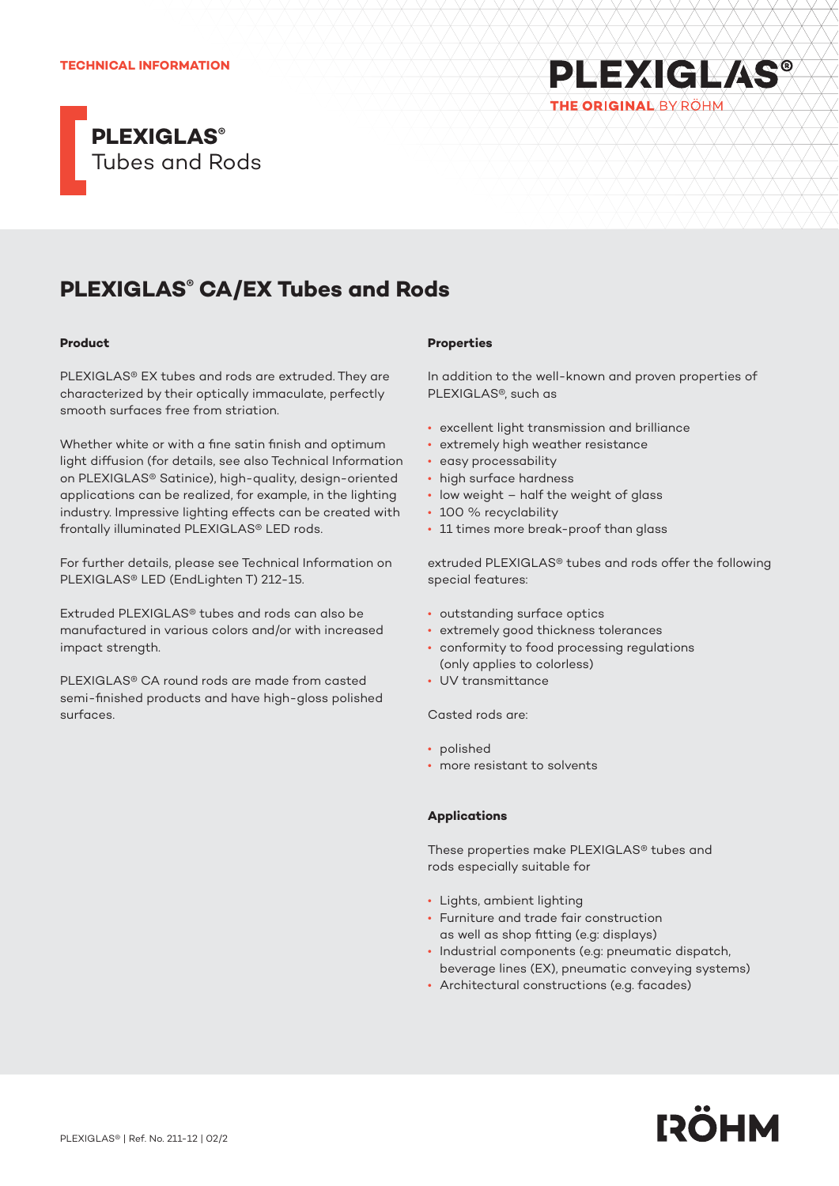#### **TECHNICAL INFORMATION**





# **PLEXIGLAS® CA/EX Tubes and Rods**

#### **Product**

PLEXIGLAS® EX tubes and rods are extruded. They are characterized by their optically immaculate, perfectly smooth surfaces free from striation.

Whether white or with a fine satin finish and optimum light diffusion (for details, see also Technical Information on PLEXIGLAS® Satinice), high-quality, design-oriented applications can be realized, for example, in the lighting industry. Impressive lighting effects can be created with frontally illuminated PLEXIGLAS® LED rods.

For further details, please see Technical Information on PLEXIGLAS® LED (EndLighten T) 212-15.

Extruded PLEXIGLAS® tubes and rods can also be manufactured in various colors and/or with increased impact strength.

PLEXIGLAS® CA round rods are made from casted semi-finished products and have high-gloss polished surfaces.

## **Properties**

In addition to the well-known and proven properties of PLEXIGLAS®, such as

- excellent light transmission and brilliance
- extremely high weather resistance
- easy processability
- high surface hardness
- low weight half the weight of glass
- 100 % recyclability
- 11 times more break-proof than glass

extruded PLEXIGLAS® tubes and rods offer the following special features:

- outstanding surface optics
- extremely good thickness tolerances
- conformity to food processing regulations (only applies to colorless)
- UV transmittance

Casted rods are:

- polished
- more resistant to solvents

## **Applications**

These properties make PLEXIGLAS® tubes and rods especially suitable for

- Lights, ambient lighting
- Furniture and trade fair construction as well as shop fitting (e.g: displays)
- Industrial components (e.g: pneumatic dispatch, beverage lines (EX), pneumatic conveying systems)
- Architectural constructions (e.g. facades)

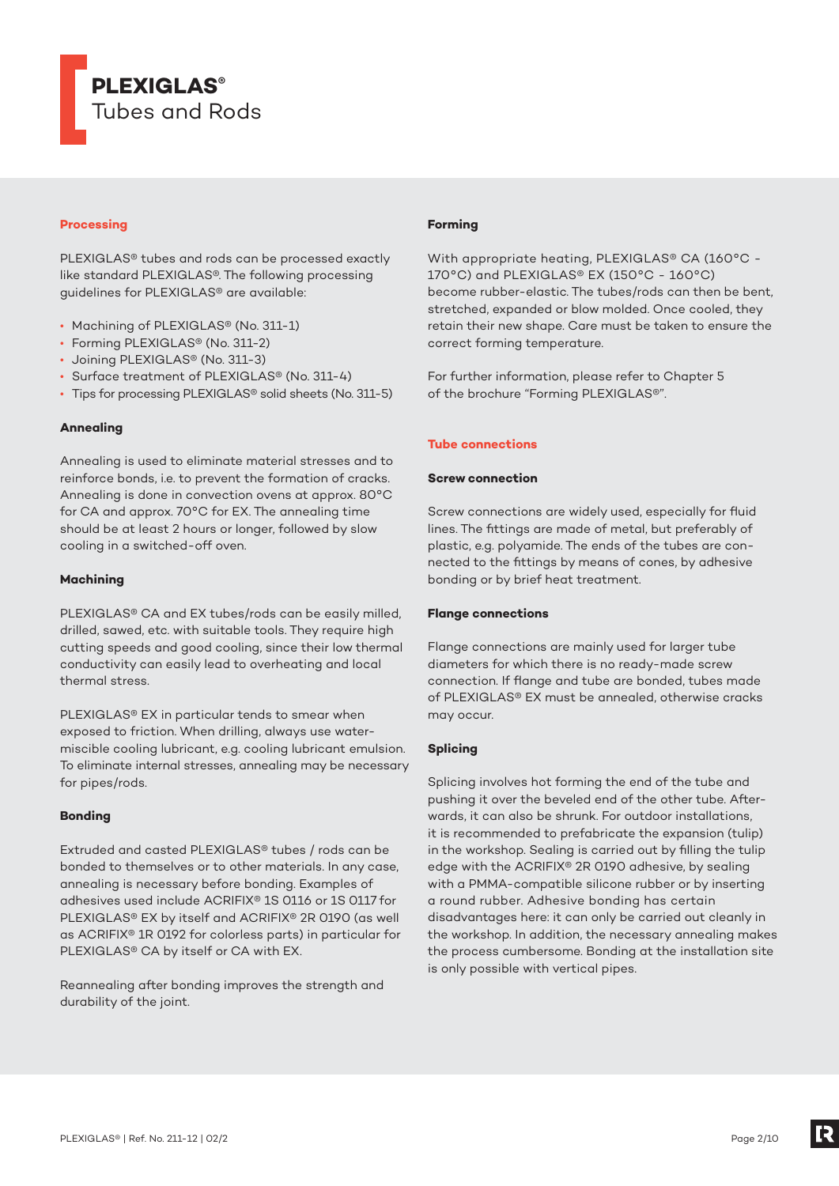

# **Processing**

PLEXIGLAS® tubes and rods can be processed exactly like standard PLEXIGLAS®. The following processing guidelines for PLEXIGLAS® are available:

- Machining of PLEXIGLAS® (No. 311-1)
- Forming PLEXIGLAS® (No. 311-2)
- Joining PLEXIGLAS® (No. 311-3)
- Surface treatment of PLEXIGLAS® (No. 311-4)
- Tips for processing PLEXIGLAS® solid sheets (No. 311-5)

# **Annealing**

Annealing is used to eliminate material stresses and to reinforce bonds, i.e. to prevent the formation of cracks. Annealing is done in convection ovens at approx. 80°C for CA and approx. 70°C for EX. The annealing time should be at least 2 hours or longer, followed by slow cooling in a switched-off oven.

#### **Machining**

PLEXIGLAS® CA and EX tubes/rods can be easily milled, drilled, sawed, etc. with suitable tools. They require high cutting speeds and good cooling, since their low thermal conductivity can easily lead to overheating and local thermal stress.

PLEXIGLAS® EX in particular tends to smear when exposed to friction. When drilling, always use watermiscible cooling lubricant, e.g. cooling lubricant emulsion. To eliminate internal stresses, annealing may be necessary for pipes/rods.

#### **Bonding**

Extruded and casted PLEXIGLAS® tubes / rods can be bonded to themselves or to other materials. In any case, annealing is necessary before bonding. Examples of adhesives used include ACRIFIX® 1S 0116 or 1S 0117 for PLEXIGLAS® EX by itself and ACRIFIX® 2R 0190 (as well as ACRIFIX® 1R 0192 for colorless parts) in particular for PLEXIGLAS® CA by itself or CA with EX.

Reannealing after bonding improves the strength and durability of the joint.

# **Forming**

With appropriate heating, PLEXIGLAS® CA (160°C -170°C) and PLEXIGLAS® EX (150°C - 160°C) become rubber-elastic. The tubes/rods can then be bent, stretched, expanded or blow molded. Once cooled, they retain their new shape. Care must be taken to ensure the correct forming temperature.

For further information, please refer to Chapter 5 of the brochure "Forming PLEXIGLAS®".

#### **Tube connections**

#### **Screw connection**

Screw connections are widely used, especially for fluid lines. The fittings are made of metal, but preferably of plastic, e.g. polyamide. The ends of the tubes are connected to the fittings by means of cones, by adhesive bonding or by brief heat treatment.

#### **Flange connections**

Flange connections are mainly used for larger tube diameters for which there is no ready-made screw connection. If flange and tube are bonded, tubes made of PLEXIGLAS® EX must be annealed, otherwise cracks may occur.

# **Splicing**

Splicing involves hot forming the end of the tube and pushing it over the beveled end of the other tube. Afterwards, it can also be shrunk. For outdoor installations, it is recommended to prefabricate the expansion (tulip) in the workshop. Sealing is carried out by filling the tulip edge with the ACRIFIX® 2R 0190 adhesive, by sealing with a PMMA-compatible silicone rubber or by inserting a round rubber. Adhesive bonding has certain disadvantages here: it can only be carried out cleanly in the workshop. In addition, the necessary annealing makes the process cumbersome. Bonding at the installation site is only possible with vertical pipes.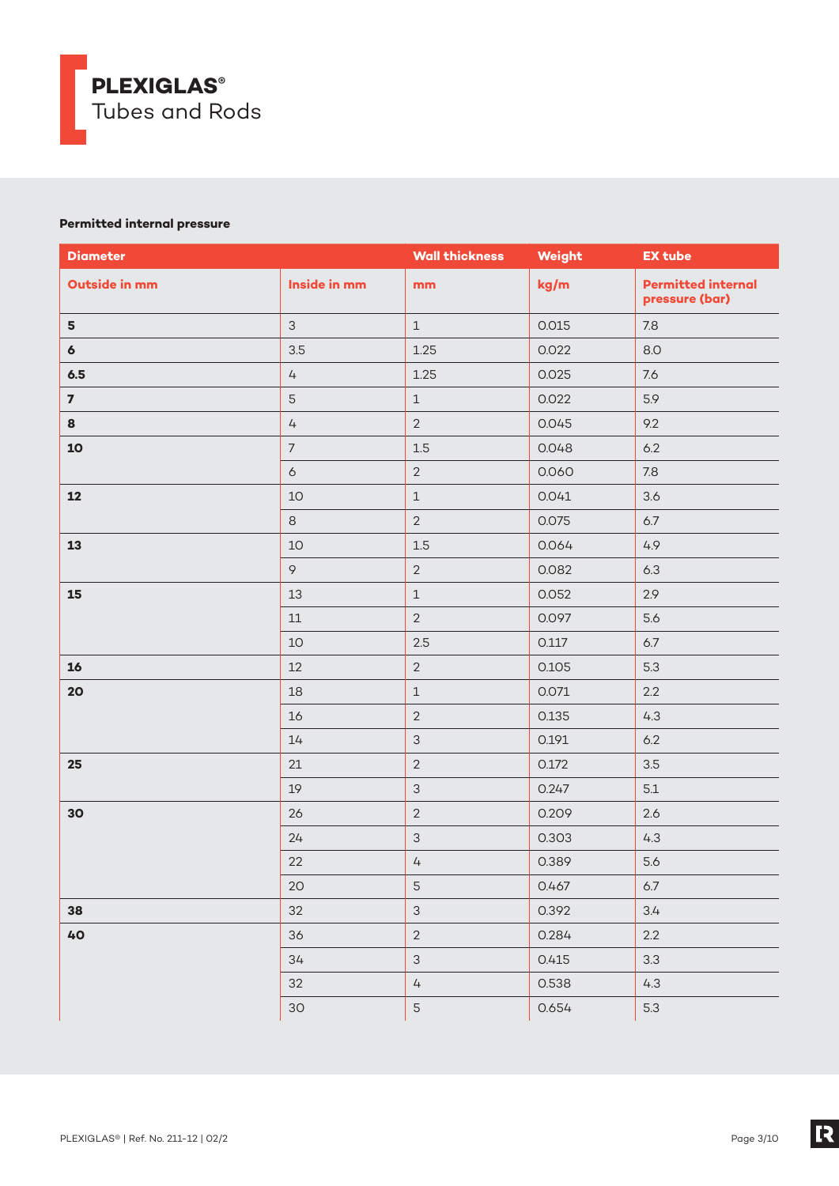

# **Permitted internal pressure**

| <b>Diameter</b>         |                      | <b>Wall thickness</b> | Weight | <b>EX tube</b>                              |
|-------------------------|----------------------|-----------------------|--------|---------------------------------------------|
| Outside in mm           | Inside in mm         | mm                    | kg/m   | <b>Permitted internal</b><br>pressure (bar) |
| $5\phantom{a}$          | $\mathcal{S}$        | $1\,$                 | 0.015  | $7.8$                                       |
| $\boldsymbol{6}$        | 3.5                  | 1.25                  | 0.022  | 8.0                                         |
| 6.5                     | $\sqrt{4}$           | 1.25                  | 0.025  | 7.6                                         |
| $\overline{\mathbf{z}}$ | $\mathsf S$          | $\mathbf 1$           | 0.022  | 5.9                                         |
| 8                       | $\mathcal{L}_{\! +}$ | $\overline{2}$        | 0.045  | 9.2                                         |
| 10                      | $\overline{7}$       | $1.5\,$               | 0.048  | 6.2                                         |
|                         | $\sigma$             | $\overline{2}$        | 0.060  | $7.8\,$                                     |
| 12                      | 10                   | $\mathbbm{1}$         | 0.041  | 3.6                                         |
|                         | $\,8\,$              | $\overline{2}$        | 0.075  | $6.7$                                       |
| 13                      | 10                   | $1.5\,$               | 0.064  | 4.9                                         |
|                         | $\circ$              | $\overline{2}$        | 0.082  | 6.3                                         |
| 15                      | 13                   | $\mathbf 1$           | 0.052  | 2.9                                         |
|                         | $11\,$               | $\overline{2}$        | 0.097  | 5.6                                         |
|                         | $10$                 | 2.5                   | 0.117  | $6.7$                                       |
| 16                      | 12                   | $\overline{2}$        | 0.105  | 5.3                                         |
| 20                      | 18                   | $\mathbf 1$           | 0.071  | 2.2                                         |
|                         | 16                   | $\overline{2}$        | 0.135  | 4.3                                         |
|                         | 14                   | $\mathfrak{S}$        | 0.191  | $6.2\,$                                     |
| 25                      | 21                   | $\overline{2}$        | 0.172  | 3.5                                         |
|                         | 19                   | $\mathsf 3$           | 0.247  | 5.1                                         |
| 30                      | 26                   | $\overline{2}$        | 0.209  | 2.6                                         |
|                         | 24                   | $\mathsf 3$           | 0.303  | 4.3                                         |
|                         | 22                   | $\overline{4}$        | 0.389  | 5.6                                         |
|                         | 20                   | 5                     | 0.467  | $6.7$                                       |
| 38                      | 32                   | $\mathfrak{S}$        | 0.392  | 3.4                                         |
| 40                      | 36                   | $\overline{2}$        | 0.284  | $2.2\,$                                     |
|                         | 34                   | $\mathsf 3$           | 0.415  | 3.3                                         |
|                         | 32                   | $\sqrt{4}$            | 0.538  | 4.3                                         |
|                         | $30$                 | 5                     | 0.654  | 5.3                                         |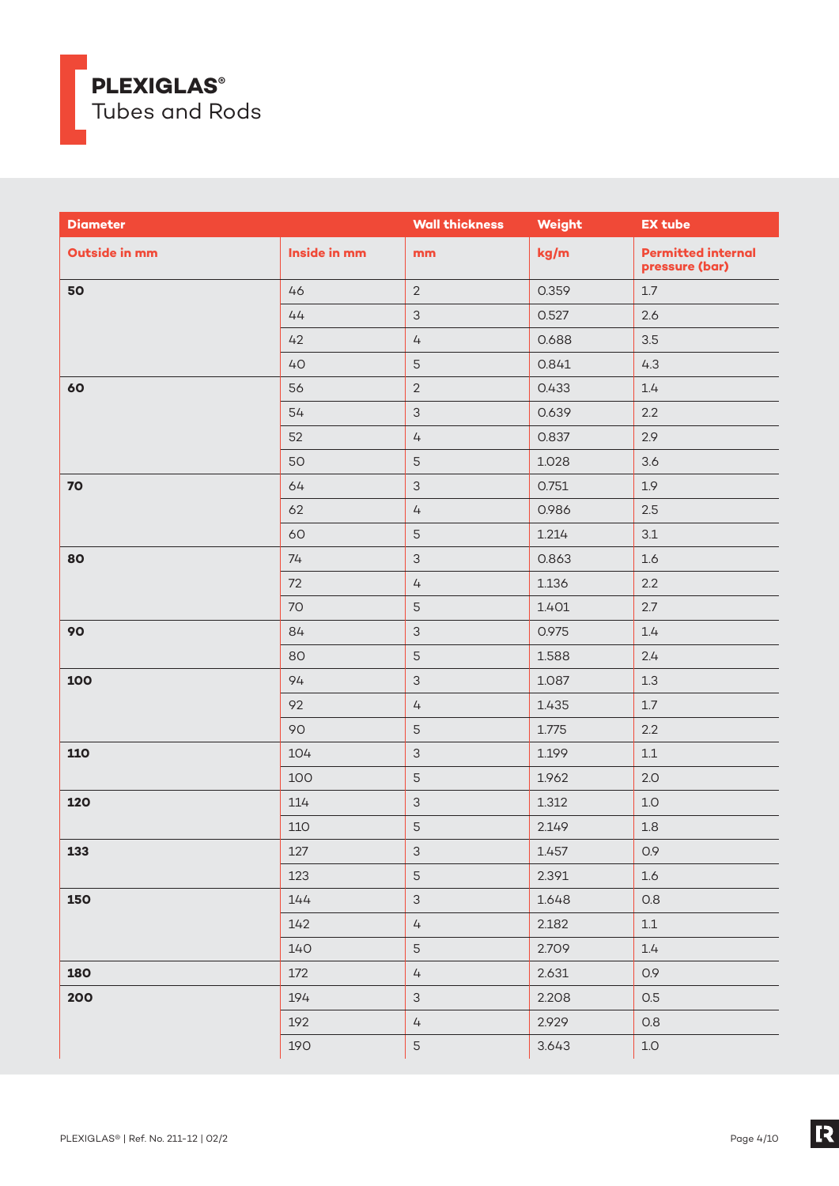

| <b>Diameter</b>      |              | <b>Wall thickness</b>     | Weight | <b>EX tube</b>                              |
|----------------------|--------------|---------------------------|--------|---------------------------------------------|
| <b>Outside in mm</b> | Inside in mm | mm                        | kg/m   | <b>Permitted internal</b><br>pressure (bar) |
| 50                   | 46           | $\overline{2}$            | 0.359  | $1.7\,$                                     |
|                      | 44           | $\mathfrak{S}$            | 0.527  | 2.6                                         |
|                      | 42           | $\overline{4}$            | 0.688  | 3.5                                         |
|                      | 40           | $\mathsf S$               | 0.841  | 4.3                                         |
| 60                   | 56           | $\overline{2}$            | 0.433  | 1.4                                         |
|                      | 54           | $\mathfrak{S}$            | 0.639  | 2.2                                         |
|                      | 52           | $\overline{4}$            | 0.837  | 2.9                                         |
|                      | 50           | 5                         | 1.028  | 3.6                                         |
| 70                   | 64           | $\mathfrak{S}$            | 0.751  | 1.9                                         |
|                      | 62           | $\sqrt{4}$                | 0.986  | 2.5                                         |
|                      | 60           | $\mathsf S$               | 1.214  | 3.1                                         |
| 80                   | 74           | $\mathsf 3$               | 0.863  | 1.6                                         |
|                      | 72           | $\overline{4}$            | 1.136  | 2.2                                         |
|                      | 70           | $\mathsf S$               | 1.401  | 2.7                                         |
| 90                   | 84           | $\mathfrak{S}$            | 0.975  | 1.4                                         |
|                      | 80           | $\mathsf S$               | 1.588  | 2.4                                         |
| 100                  | 94           | $\mathfrak{S}$            | 1.087  | $1.3\,$                                     |
|                      | 92           | $\sqrt{4}$                | 1.435  | $1.7\,$                                     |
|                      | 90           | 5                         | 1.775  | 2.2                                         |
| 110                  | 104          | $\mathsf 3$               | 1.199  | $1.1\,$                                     |
|                      | 100          | $\mathsf S$               | 1.962  | 2.0                                         |
| 120                  | 114          | $\mathfrak{S}$            | 1.312  | 1.0                                         |
|                      | 110          | 5                         | 2.149  | $1.8\,$                                     |
| 133                  | 127          | $\ensuremath{\mathsf{3}}$ | 1.457  | 0.9                                         |
|                      | 123          | 5                         | 2.391  | 1.6                                         |
| 150                  | 144          | $\mathfrak{S}$            | 1.648  | 0.8                                         |
|                      | 142          | $\sqrt{4}$                | 2.182  | $1.1\,$                                     |
|                      | 140          | $\mathsf S$               | 2.709  | $1.4\,$                                     |
| 180                  | 172          | $\overline{4}$            | 2.631  | 0.9                                         |
| 200                  | 194          | $\mathsf 3$               | 2.208  | O.5                                         |
|                      | 192          | $\overline{4}$            | 2.929  | 0.8                                         |
|                      | 190          | 5                         | 3.643  | $1.0\,$                                     |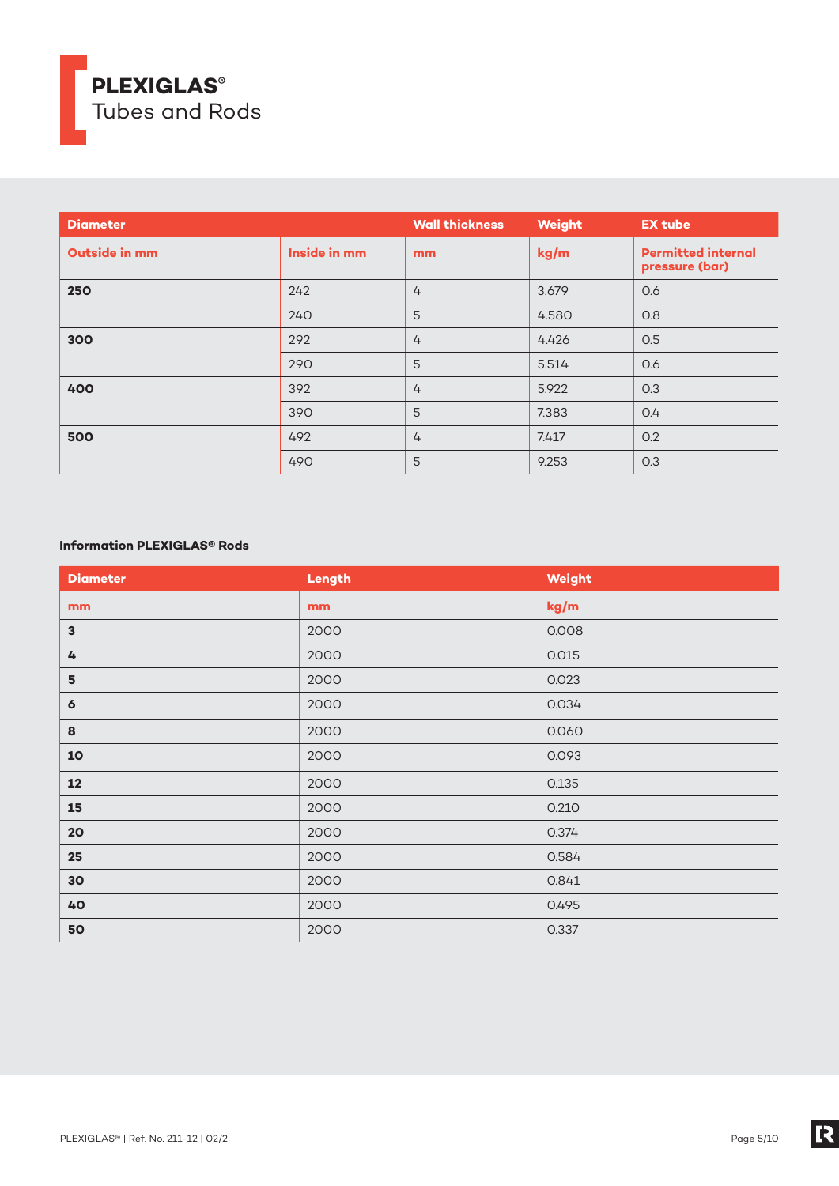

| <b>Diameter</b>      |              | <b>Wall thickness</b> | Weight | <b>EX tube</b>                              |
|----------------------|--------------|-----------------------|--------|---------------------------------------------|
| <b>Outside in mm</b> | Inside in mm | m <sub>m</sub>        | kg/m   | <b>Permitted internal</b><br>pressure (bar) |
| 250                  | 242          | $\overline{4}$        | 3.679  | 0.6                                         |
|                      | 240          | 5                     | 4.580  | O.8                                         |
| 300                  | 292          | $\overline{4}$        | 4.426  | 0.5                                         |
|                      | 290          | 5                     | 5.514  | 0.6                                         |
| 400                  | 392          | $\overline{4}$        | 5.922  | O.3                                         |
|                      | 390          | 5                     | 7.383  | O.4                                         |
| 500                  | 492          | $\overline{4}$        | 7.417  | 0.2                                         |
|                      | 490          | 5                     | 9.253  | O.3                                         |

# **Information PLEXIGLAS® Rods**

| <b>Diameter</b>  | Length | Weight |
|------------------|--------|--------|
| mm               | mm     | kg/m   |
| $\mathbf 3$      | 2000   | 0.008  |
| 4                | 2000   | 0.015  |
| 5                | 2000   | 0.023  |
| $\boldsymbol{6}$ | 2000   | 0.034  |
| 8                | 2000   | 0.060  |
| 10               | 2000   | 0.093  |
| 12               | 2000   | 0.135  |
| 15               | 2000   | 0.210  |
| 20               | 2000   | 0.374  |
| 25               | 2000   | 0.584  |
| 30 <sub>o</sub>  | 2000   | 0.841  |
| 40               | 2000   | 0.495  |
| 50               | 2000   | 0.337  |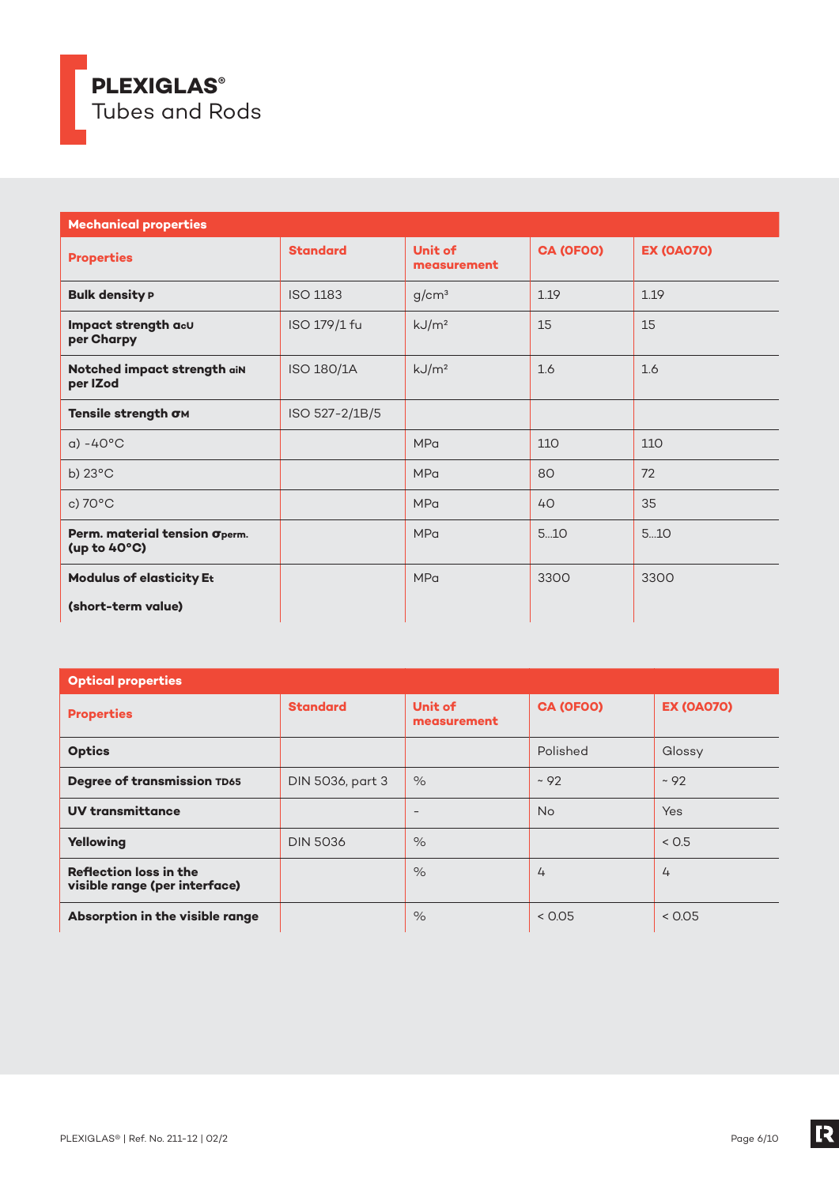

| <b>Mechanical properties</b>                  |                 |                        |           |                   |  |
|-----------------------------------------------|-----------------|------------------------|-----------|-------------------|--|
| <b>Properties</b>                             | <b>Standard</b> | Unit of<br>measurement | CA (OFOO) | <b>EX (OA070)</b> |  |
| <b>Bulk density P</b>                         | <b>ISO 1183</b> | g/cm <sup>3</sup>      | 1.19      | 1.19              |  |
| Impact strength acu<br>per Charpy             | ISO 179/1 fu    | kJ/m <sup>2</sup>      | 15        | 15                |  |
| Notched impact strength aiN<br>per IZod       | ISO 180/1A      | kJ/m <sup>2</sup>      | 1.6       | 1.6               |  |
| Tensile strength OM                           | ISO 527-2/1B/5  |                        |           |                   |  |
| $a) - 40^{\circ}$ C                           |                 | <b>MPa</b>             | 110       | 110               |  |
| b) $23^{\circ}$ C                             |                 | <b>MPa</b>             | 80        | 72                |  |
| c) 70°C                                       |                 | <b>MPa</b>             | 40        | 35                |  |
| Perm. material tension Operm.<br>(up to 40°C) |                 | <b>MPa</b>             | 510       | 510               |  |
| <b>Modulus of elasticity Et</b>               |                 | <b>MPa</b>             | 3300      | 3300              |  |
| (short-term value)                            |                 |                        |           |                   |  |

| <b>Optical properties</b>                                      |                  |                          |                |                   |
|----------------------------------------------------------------|------------------|--------------------------|----------------|-------------------|
| <b>Properties</b>                                              | <b>Standard</b>  | Unit of<br>measurement   | CA (OFOO)      | <b>EX (OA070)</b> |
| <b>Optics</b>                                                  |                  |                          | Polished       | Glossy            |
| <b>Degree of transmission TD65</b>                             | DIN 5036, part 3 | $\%$                     | ~2             | ~292              |
| <b>UV transmittance</b>                                        |                  | $\overline{\phantom{a}}$ | <b>No</b>      | Yes               |
| Yellowing                                                      | <b>DIN 5036</b>  | $\%$                     |                | < 0.5             |
| <b>Reflection loss in the</b><br>visible range (per interface) |                  | $\%$                     | $\overline{4}$ | $\overline{4}$    |
| Absorption in the visible range                                |                  | $\%$                     | < 0.05         | < 0.05            |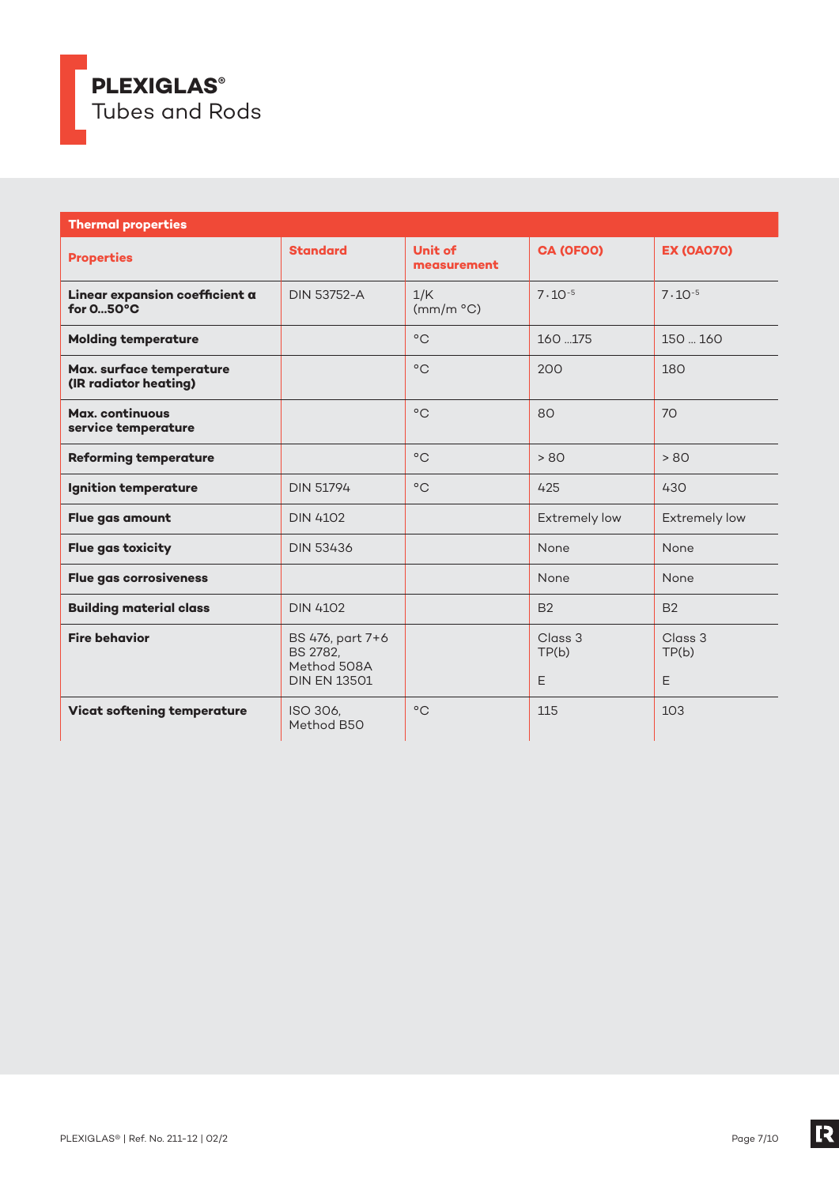

| <b>Thermal properties</b>                             |                                                                    |                        |                       |                       |  |
|-------------------------------------------------------|--------------------------------------------------------------------|------------------------|-----------------------|-----------------------|--|
| <b>Properties</b>                                     | <b>Standard</b>                                                    | Unit of<br>measurement | CA (OFOO)             | <b>EX (OA070)</b>     |  |
| Linear expansion coefficient a<br>for $050^{\circ}$ C | <b>DIN 53752-A</b>                                                 | 1/K<br>(mm/m °C)       | $7 \cdot 10^{-5}$     | $7 \cdot 10^{-5}$     |  |
| <b>Molding temperature</b>                            |                                                                    | $^{\circ}$ C           | 160.175               | 150  160              |  |
| Max. surface temperature<br>(IR radiator heating)     |                                                                    | $^{\circ}$ C           | 200                   | 180                   |  |
| Max. continuous<br>service temperature                |                                                                    | $^{\circ}$ C           | 80                    | 70                    |  |
| <b>Reforming temperature</b>                          |                                                                    | $^{\circ}$ C           | > 80                  | > 80                  |  |
| <b>Ignition temperature</b>                           | <b>DIN 51794</b>                                                   | $^{\circ}$ C           | 425                   | 430                   |  |
| Flue gas amount                                       | <b>DIN 4102</b>                                                    |                        | Extremely low         | Extremely low         |  |
| <b>Flue gas toxicity</b>                              | <b>DIN 53436</b>                                                   |                        | None                  | None                  |  |
| <b>Flue gas corrosiveness</b>                         |                                                                    |                        | None                  | None                  |  |
| <b>Building material class</b>                        | <b>DIN 4102</b>                                                    |                        | <b>B2</b>             | <b>B2</b>             |  |
| <b>Fire behavior</b>                                  | BS 476, part 7+6<br>BS 2782,<br>Method 508A<br><b>DIN EN 13501</b> |                        | Class 3<br>TP(b)<br>E | Class 3<br>TP(b)<br>E |  |
| <b>Vicat softening temperature</b>                    | ISO 306.<br>Method B50                                             | $^{\circ}$ C           | 115                   | 103                   |  |

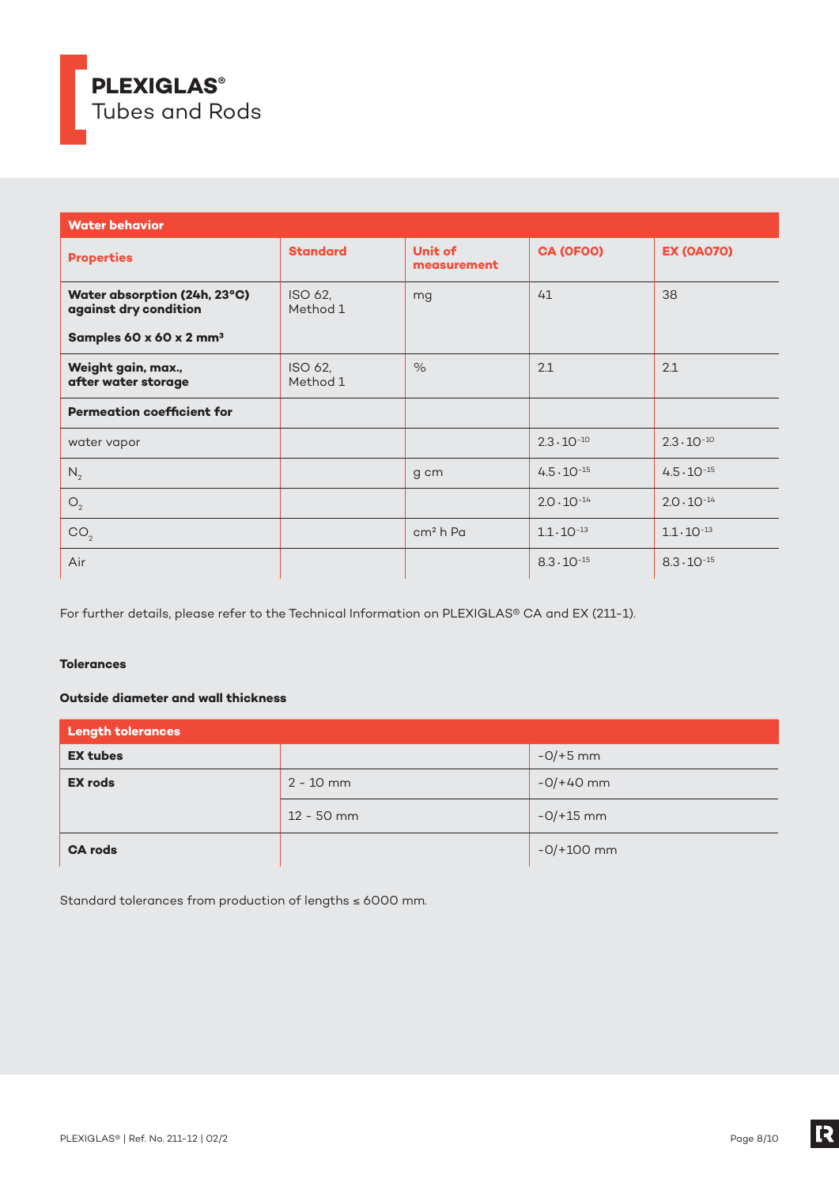

| <b>Water behavior</b>                                 |                     |                               |                      |                      |
|-------------------------------------------------------|---------------------|-------------------------------|----------------------|----------------------|
| <b>Properties</b>                                     | <b>Standard</b>     | <b>Unit of</b><br>measurement | CA (OFOO)            | <b>EX (OA070)</b>    |
| Water absorption (24h, 23°C)<br>against dry condition | ISO 62,<br>Method 1 | mg                            | 41                   | 38                   |
| Samples 60 x 60 x 2 mm <sup>3</sup>                   |                     |                               |                      |                      |
| Weight gain, max.,<br>after water storage             | ISO 62,<br>Method 1 | $\%$                          | 2.1                  | 2.1                  |
| <b>Permeation coefficient for</b>                     |                     |                               |                      |                      |
| water vapor                                           |                     |                               | $2.3 \cdot 10^{-10}$ | $2.3 \cdot 10^{-10}$ |
| $N_2$                                                 |                     | g cm                          | $4.5 \cdot 10^{-15}$ | $4.5 \cdot 10^{-15}$ |
| O <sub>2</sub>                                        |                     |                               | $2.0 \cdot 10^{-14}$ | $2.0 \cdot 10^{-14}$ |
| CO <sub>2</sub>                                       |                     | cm <sup>2</sup> h Pa          | $1.1 \cdot 10^{-13}$ | $1.1 \cdot 10^{-13}$ |
| Air                                                   |                     |                               | $8.3 \cdot 10^{-15}$ | $8.3 \cdot 10^{-15}$ |

For further details, please refer to the Technical Information on PLEXIGLAS® CA and EX (211-1).

# **Tolerances**

# **Outside diameter and wall thickness**

| <b>Length tolerances</b> |              |              |  |  |
|--------------------------|--------------|--------------|--|--|
| <b>EX tubes</b>          |              | $-0/+5$ mm   |  |  |
| <b>EX rods</b>           | $2 - 10$ mm  | $-0/+40$ mm  |  |  |
|                          | $12 - 50$ mm | $-0/+15$ mm  |  |  |
| <b>CA rods</b>           |              | $-0/+100$ mm |  |  |

Standard tolerances from production of lengths ≤ 6000 mm.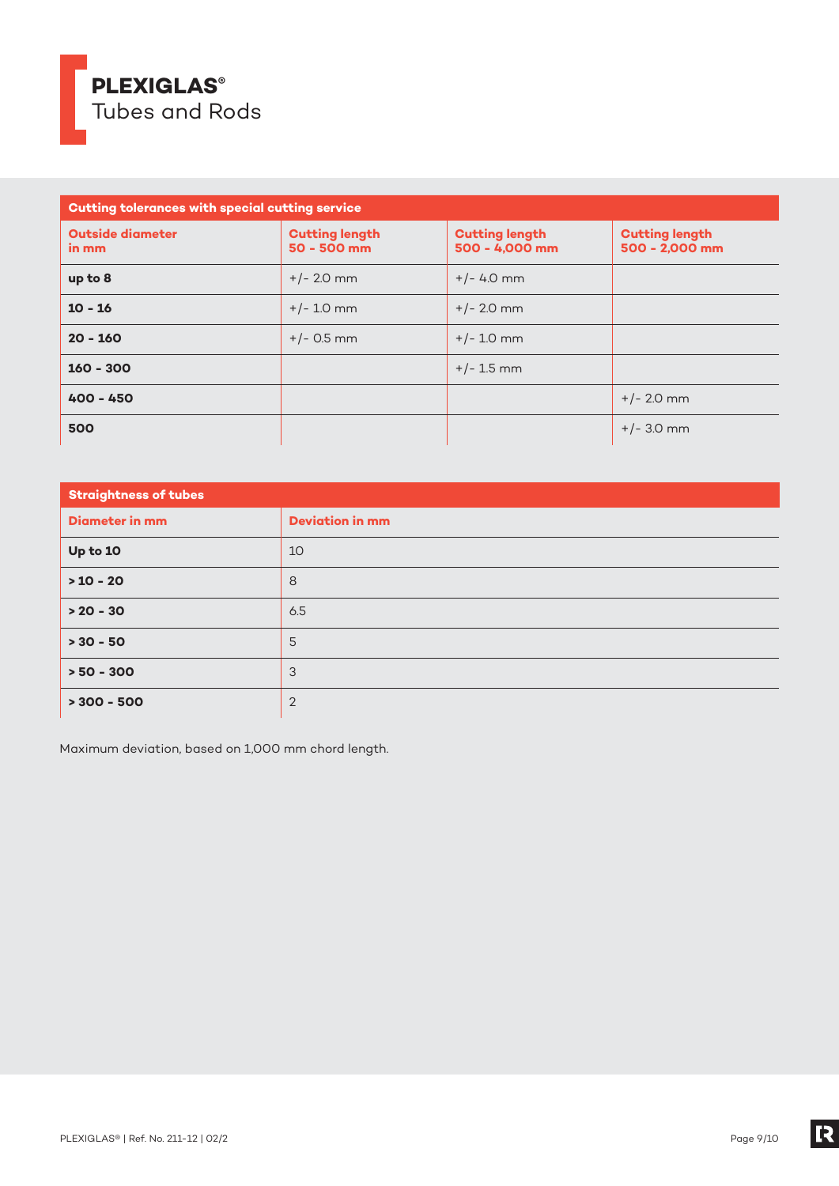

| <b>Cutting tolerances with special cutting service</b> |                                        |                                         |                                         |  |  |
|--------------------------------------------------------|----------------------------------------|-----------------------------------------|-----------------------------------------|--|--|
| <b>Outside diameter</b><br>in mm                       | <b>Cutting length</b><br>$50 - 500$ mm | <b>Cutting length</b><br>500 - 4,000 mm | <b>Cutting length</b><br>500 - 2,000 mm |  |  |
| up to 8                                                | $+/- 2.0$ mm                           | $+/- 4.0$ mm                            |                                         |  |  |
| $10 - 16$                                              | $+/- 1.0$ mm                           | $+/- 2.0$ mm                            |                                         |  |  |
| $20 - 160$                                             | $+/-$ 0.5 mm                           | $+/- 1.0$ mm                            |                                         |  |  |
| $160 - 300$                                            |                                        | $+/- 1.5$ mm                            |                                         |  |  |
| $400 - 450$                                            |                                        |                                         | $+/- 2.0$ mm                            |  |  |
| 500                                                    |                                        |                                         | $+/- 3.0$ mm                            |  |  |

| <b>Straightness of tubes</b> |                        |  |  |
|------------------------------|------------------------|--|--|
| <b>Diameter in mm</b>        | <b>Deviation in mm</b> |  |  |
| Up to 10                     | 10                     |  |  |
| $>10 - 20$                   | 8                      |  |  |
| $> 20 - 30$                  | 6.5                    |  |  |
| $> 30 - 50$                  | 5                      |  |  |
| $> 50 - 300$                 | 3                      |  |  |
| $> 300 - 500$                | $\overline{2}$         |  |  |

Maximum deviation, based on 1,000 mm chord length.